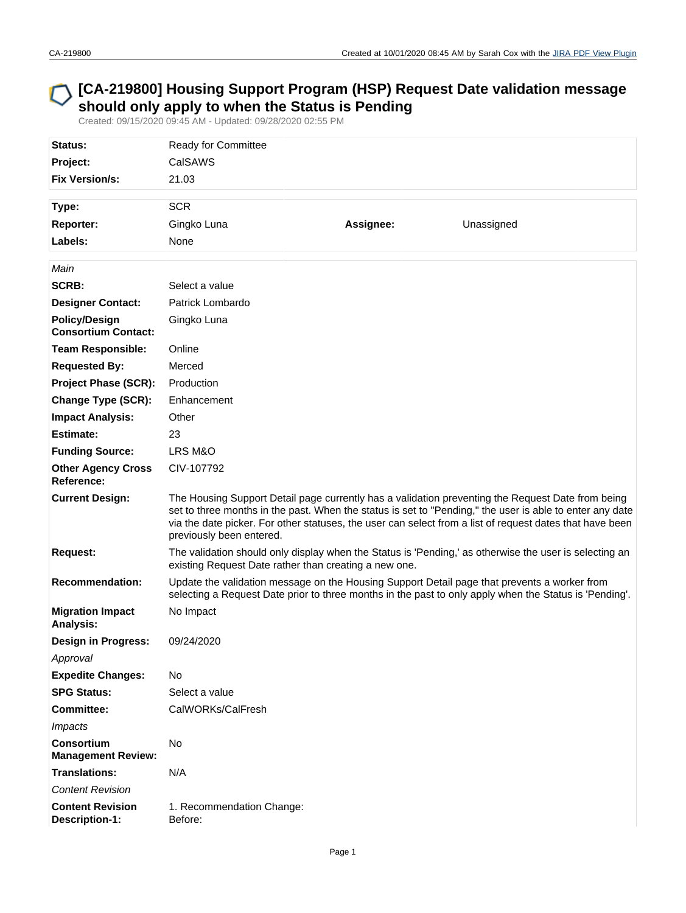## **[CA-219800] Housing Support Program (HSP) Request Date validation message should only apply to when the Status is Pending**

Created: 09/15/2020 09:45 AM - Updated: 09/28/2020 02:55 PM

| Status:<br>Project:<br><b>Fix Version/s:</b>       | Ready for Committee<br>CalSAWS<br>21.03                                                                                                                                                                                                                                                                                                               |           |                                                                                                        |  |  |
|----------------------------------------------------|-------------------------------------------------------------------------------------------------------------------------------------------------------------------------------------------------------------------------------------------------------------------------------------------------------------------------------------------------------|-----------|--------------------------------------------------------------------------------------------------------|--|--|
|                                                    |                                                                                                                                                                                                                                                                                                                                                       |           |                                                                                                        |  |  |
| Type:                                              | <b>SCR</b>                                                                                                                                                                                                                                                                                                                                            |           |                                                                                                        |  |  |
| Reporter:<br>Labels:                               | Gingko Luna                                                                                                                                                                                                                                                                                                                                           | Assignee: | Unassigned                                                                                             |  |  |
|                                                    | None                                                                                                                                                                                                                                                                                                                                                  |           |                                                                                                        |  |  |
| Main                                               |                                                                                                                                                                                                                                                                                                                                                       |           |                                                                                                        |  |  |
| <b>SCRB:</b>                                       | Select a value                                                                                                                                                                                                                                                                                                                                        |           |                                                                                                        |  |  |
| <b>Designer Contact:</b>                           | Patrick Lombardo                                                                                                                                                                                                                                                                                                                                      |           |                                                                                                        |  |  |
| <b>Policy/Design</b><br><b>Consortium Contact:</b> | Gingko Luna                                                                                                                                                                                                                                                                                                                                           |           |                                                                                                        |  |  |
| <b>Team Responsible:</b>                           | Online                                                                                                                                                                                                                                                                                                                                                |           |                                                                                                        |  |  |
| <b>Requested By:</b>                               | Merced                                                                                                                                                                                                                                                                                                                                                |           |                                                                                                        |  |  |
| <b>Project Phase (SCR):</b>                        | Production                                                                                                                                                                                                                                                                                                                                            |           |                                                                                                        |  |  |
| <b>Change Type (SCR):</b>                          | Enhancement                                                                                                                                                                                                                                                                                                                                           |           |                                                                                                        |  |  |
| <b>Impact Analysis:</b>                            | Other                                                                                                                                                                                                                                                                                                                                                 |           |                                                                                                        |  |  |
| Estimate:                                          | 23                                                                                                                                                                                                                                                                                                                                                    |           |                                                                                                        |  |  |
| <b>Funding Source:</b>                             | LRS M&O                                                                                                                                                                                                                                                                                                                                               |           |                                                                                                        |  |  |
| <b>Other Agency Cross</b><br>Reference:            | CIV-107792                                                                                                                                                                                                                                                                                                                                            |           |                                                                                                        |  |  |
| <b>Current Design:</b>                             | The Housing Support Detail page currently has a validation preventing the Request Date from being<br>set to three months in the past. When the status is set to "Pending," the user is able to enter any date<br>via the date picker. For other statuses, the user can select from a list of request dates that have been<br>previously been entered. |           |                                                                                                        |  |  |
| Request:                                           | existing Request Date rather than creating a new one.                                                                                                                                                                                                                                                                                                 |           | The validation should only display when the Status is 'Pending,' as otherwise the user is selecting an |  |  |
| <b>Recommendation:</b>                             | Update the validation message on the Housing Support Detail page that prevents a worker from<br>selecting a Request Date prior to three months in the past to only apply when the Status is 'Pending'.                                                                                                                                                |           |                                                                                                        |  |  |
| <b>Migration Impact</b><br>Analysis:               | No Impact                                                                                                                                                                                                                                                                                                                                             |           |                                                                                                        |  |  |
| <b>Design in Progress:</b>                         | 09/24/2020                                                                                                                                                                                                                                                                                                                                            |           |                                                                                                        |  |  |
| Approval                                           |                                                                                                                                                                                                                                                                                                                                                       |           |                                                                                                        |  |  |
| <b>Expedite Changes:</b>                           | No                                                                                                                                                                                                                                                                                                                                                    |           |                                                                                                        |  |  |
| <b>SPG Status:</b>                                 | Select a value                                                                                                                                                                                                                                                                                                                                        |           |                                                                                                        |  |  |
| <b>Committee:</b>                                  | CalWORKs/CalFresh                                                                                                                                                                                                                                                                                                                                     |           |                                                                                                        |  |  |
| <b>Impacts</b>                                     |                                                                                                                                                                                                                                                                                                                                                       |           |                                                                                                        |  |  |
| <b>Consortium</b><br><b>Management Review:</b>     | No                                                                                                                                                                                                                                                                                                                                                    |           |                                                                                                        |  |  |
| <b>Translations:</b>                               | N/A                                                                                                                                                                                                                                                                                                                                                   |           |                                                                                                        |  |  |
| <b>Content Revision</b>                            |                                                                                                                                                                                                                                                                                                                                                       |           |                                                                                                        |  |  |
| <b>Content Revision</b><br>Description-1:          | 1. Recommendation Change:<br>Before:                                                                                                                                                                                                                                                                                                                  |           |                                                                                                        |  |  |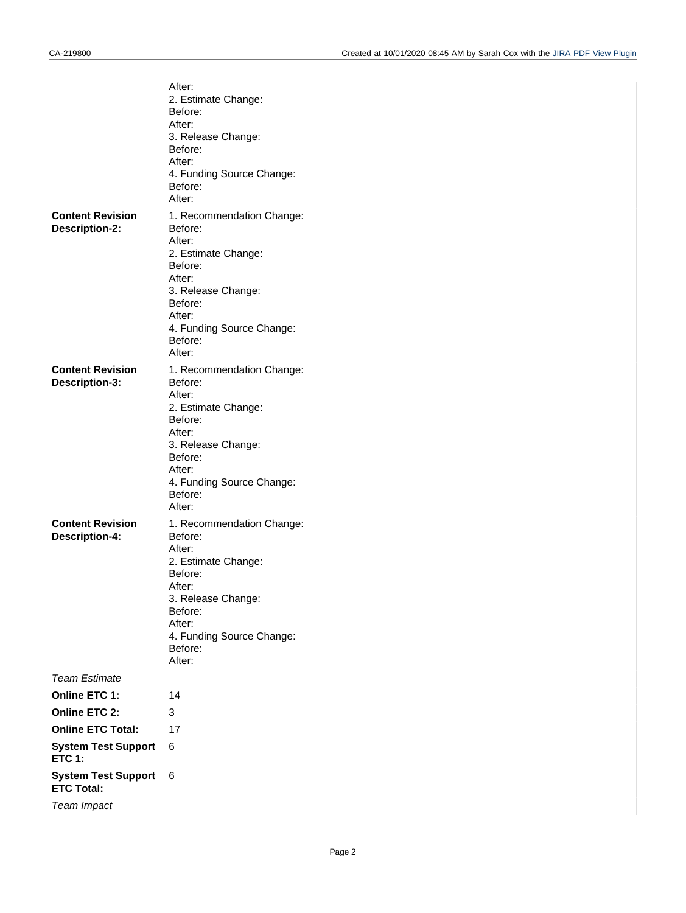|                                                  | After:<br>2. Estimate Change:<br>Before:<br>After:<br>3. Release Change:<br>Before:<br>After:<br>4. Funding Source Change:<br>Before:<br>After:                                         |
|--------------------------------------------------|-----------------------------------------------------------------------------------------------------------------------------------------------------------------------------------------|
| <b>Content Revision</b><br>Description-2:        | 1. Recommendation Change:<br>Before:<br>After:<br>2. Estimate Change:<br>Before:<br>After:<br>3. Release Change:<br>Before:<br>After:<br>4. Funding Source Change:<br>Before:<br>After: |
| <b>Content Revision</b><br>Description-3:        | 1. Recommendation Change:<br>Before:<br>After:<br>2. Estimate Change:<br>Before:<br>After:<br>3. Release Change:<br>Before:<br>After:<br>4. Funding Source Change:<br>Before:<br>After: |
| <b>Content Revision</b><br><b>Description-4:</b> | 1. Recommendation Change:<br>Before:<br>After:<br>2. Estimate Change:<br>Before:<br>After:<br>3. Release Change:<br>Before:<br>After:<br>4. Funding Source Change:<br>Before:<br>After: |
| <b>Team Estimate</b>                             |                                                                                                                                                                                         |
| Online ETC 1:                                    | 14                                                                                                                                                                                      |
| <b>Online ETC 2:</b>                             | 3                                                                                                                                                                                       |
| <b>Online ETC Total:</b>                         | 17                                                                                                                                                                                      |
| <b>System Test Support</b><br><b>ETC 1:</b>      | 6                                                                                                                                                                                       |
| <b>System Test Support</b><br><b>ETC Total:</b>  | 6                                                                                                                                                                                       |
| Team Impact                                      |                                                                                                                                                                                         |